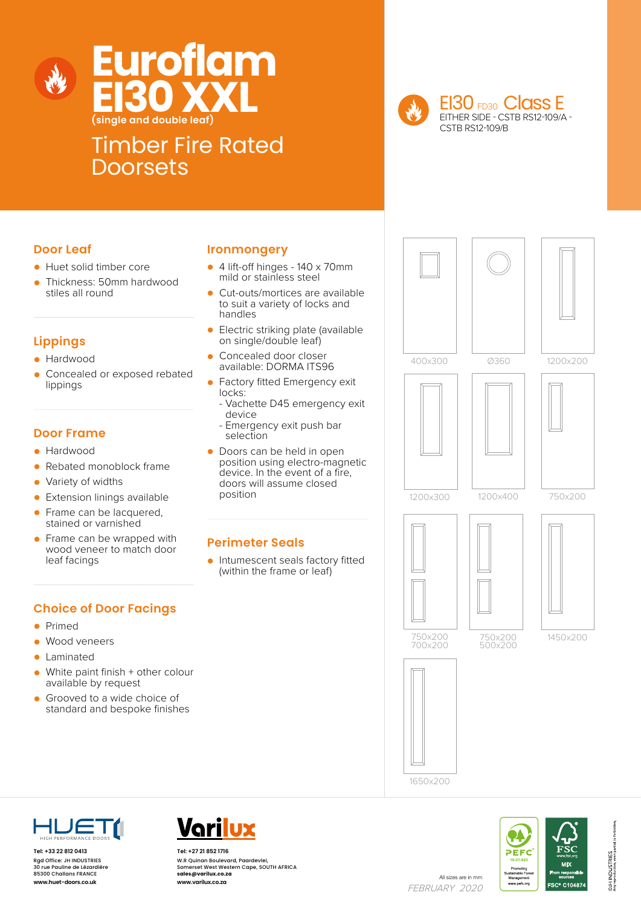



### Timber Fire Rated **Doorsets**

EI30 FD30 Class E EITHER SIDE - CSTB RS12-109/A - CSTB RS12-109/B

#### **Door Leaf**

- Huet solid timber core
- Thickness: 50mm hardwood stiles all round

#### **Lippings**

- Hardwood
- Concealed or exposed rebated lippings

#### **Door Frame**

- Hardwood
- Rebated monoblock frame
- Variety of widths
- Extension linings available
- Frame can be lacquered, stained or varnished
- Frame can be wrapped with wood veneer to match door leaf facings

#### **Ironmongery**

- 4 lift-off hinges 140 x 70mm mild or stainless steel
- Cut-outs/mortices are available to suit a variety of locks and handles
- Electric striking plate (available on single/double leaf)
- Concealed door closer available: DORMA ITS96
- Factory fitted Emergency exit locks:
	- Vachette D45 emergency exit device
	- Emergency exit push bar selection
- Doors can be held in open position using electro-magnetic device. In the event of a fire, doors will assume closed position

#### **Perimeter Seals**

• Intumescent seals factory fitted (within the frame or leaf)

#### **Choice of Door Facings**

- Primed
- Wood veneers
- Laminated<br>• White pain
- White paint finish + other colour available by request
- Grooved to a wide choice of standard and bespoke finishes









**Tel: +33 22 812 0413** Rgd Office: JH INDUSTRIES 30 rue Pauline de Lézardière 85300 Challans FRANCE



All sizes are in mm<br>**www.huet-doors.co.uk www.varilux.co.za** All sizes are in mm **Tel: +27 21 852 1716** W.R Quinan Boulevard, Paardevlei, Somerset West Western Cape, SOUTH AFRICA **sales@varilux.co.za www.varilux.co.za**

FEBRUARY 2020